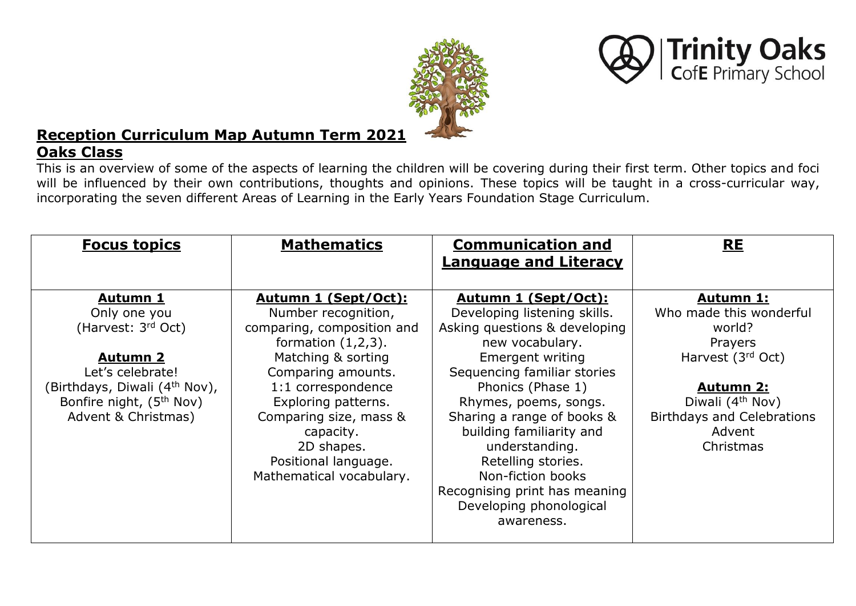



# **Reception Curriculum Map Autumn Term 2021**

# **Oaks Class**

This is an overview of some of the aspects of learning the children will be covering during their first term. Other topics and foci will be influenced by their own contributions, thoughts and opinions. These topics will be taught in a cross-curricular way, incorporating the seven different Areas of Learning in the Early Years Foundation Stage Curriculum.

| <b>Focus topics</b>                                                                                                                             | <b>Mathematics</b>                                                                                                                                                                             | <b>Communication and</b>                                                                                                                                                                                                                                                                              | <b>RE</b>                                                                                                                         |
|-------------------------------------------------------------------------------------------------------------------------------------------------|------------------------------------------------------------------------------------------------------------------------------------------------------------------------------------------------|-------------------------------------------------------------------------------------------------------------------------------------------------------------------------------------------------------------------------------------------------------------------------------------------------------|-----------------------------------------------------------------------------------------------------------------------------------|
|                                                                                                                                                 |                                                                                                                                                                                                | <b>Language and Literacy</b>                                                                                                                                                                                                                                                                          |                                                                                                                                   |
| <u>Autumn 1</u>                                                                                                                                 | Autumn 1 (Sept/Oct):                                                                                                                                                                           | Autumn 1 (Sept/Oct):                                                                                                                                                                                                                                                                                  | <u>Autumn 1:</u>                                                                                                                  |
| Only one you<br>(Harvest: 3rd Oct)                                                                                                              | Number recognition,<br>comparing, composition and<br>formation $(1,2,3)$ .                                                                                                                     | Developing listening skills.<br>Asking questions & developing<br>new vocabulary.                                                                                                                                                                                                                      | Who made this wonderful<br>world?<br>Prayers                                                                                      |
| <b>Autumn 2</b><br>Let's celebrate!<br>(Birthdays, Diwali (4 <sup>th</sup> Nov),<br>Bonfire night, (5 <sup>th</sup> Nov)<br>Advent & Christmas) | Matching & sorting<br>Comparing amounts.<br>1:1 correspondence<br>Exploring patterns.<br>Comparing size, mass &<br>capacity.<br>2D shapes.<br>Positional language.<br>Mathematical vocabulary. | <b>Emergent writing</b><br>Sequencing familiar stories<br>Phonics (Phase 1)<br>Rhymes, poems, songs.<br>Sharing a range of books &<br>building familiarity and<br>understanding.<br>Retelling stories.<br>Non-fiction books<br>Recognising print has meaning<br>Developing phonological<br>awareness. | Harvest (3rd Oct)<br><u>Autumn 2:</u><br>Diwali (4 <sup>th</sup> Nov)<br><b>Birthdays and Celebrations</b><br>Advent<br>Christmas |